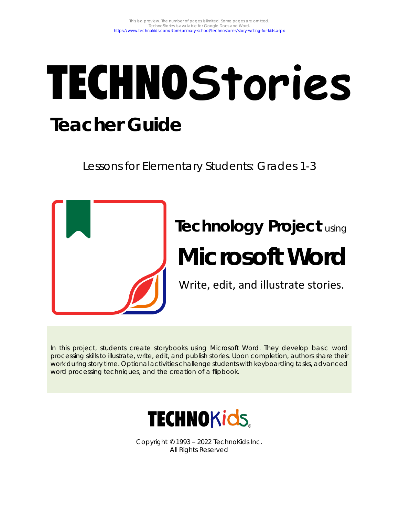# **TECHNOStories Teacher Guide**

Lessons for Elementary Students: Grades 1-3



# **Technology Project** using **Microsoft Word**

Write, edit, and illustrate stories.

In this project, students create storybooks using Microsoft Word. They develop basic word processing skills to illustrate, write, edit, and publish stories. Upon completion, authors share their work during story time. Optional activities challenge students with keyboarding tasks, advanced word processing techniques, and the creation of a flipbook.



Copyright © 1993 – 2022 TechnoKids Inc. All Rights Reserved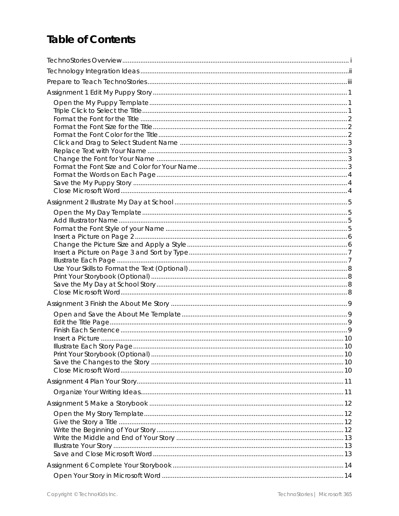# **Table of Contents**

| Illustrate Each Story Page |  |
|----------------------------|--|
|                            |  |
|                            |  |
|                            |  |
|                            |  |
|                            |  |
|                            |  |
|                            |  |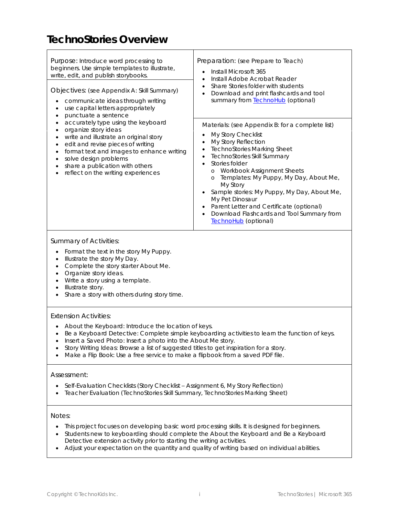### **TechnoStories Overview**

| Purpose: Introduce word processing to<br>beginners. Use simple templates to illustrate,<br>write, edit, and publish storybooks.<br>Objectives: (see Appendix A: Skill Summary)<br>communicate ideas through writing<br>use capital letters appropriately<br>punctuate a sentence         | Preparation: (see Prepare to Teach)<br>Install Microsoft 365<br>Install Adobe Acrobat Reader<br>Share Stories folder with students<br>Download and print flashcards and tool<br>summary from <b>TechnoHub</b> (optional)                                                                                                                                                                                                                                                          |  |
|------------------------------------------------------------------------------------------------------------------------------------------------------------------------------------------------------------------------------------------------------------------------------------------|-----------------------------------------------------------------------------------------------------------------------------------------------------------------------------------------------------------------------------------------------------------------------------------------------------------------------------------------------------------------------------------------------------------------------------------------------------------------------------------|--|
| accurately type using the keyboard<br>organize story ideas<br>write and illustrate an original story<br>edit and revise pieces of writing<br>format text and images to enhance writing<br>solve design problems<br>share a publication with others<br>reflect on the writing experiences | Materials: (see Appendix B: for a complete list)<br>My Story Checklist<br>My Story Reflection<br><b>TechnoStories Marking Sheet</b><br>TechnoStories Skill Summary<br>Stories folder<br>Workbook Assignment Sheets<br>$\circ$<br>Templates: My Puppy, My Day, About Me,<br>$\circ$<br>My Story<br>Sample stories: My Puppy, My Day, About Me,<br>My Pet Dinosaur<br>Parent Letter and Certificate (optional)<br>Download Flashcards and Tool Summary from<br>TechnoHub (optional) |  |

#### *Summary of Activities:*

- Format the text in the story *My Puppy*.
- Illustrate the story *My Day*.
- Complete the story starter *About Me*.
- Organize story ideas.
- Write a story using a template.
- Illustrate story.
- Share a story with others during story time.

#### *Extension Activities:*

- About the Keyboard: Introduce the location of keys.
- Be a Keyboard Detective: Complete simple keyboarding activities to learn the function of keys.
- Insert a Saved Photo: Insert a photo into the About Me story.
- Story Writing Ideas: Browse a list of suggested titles to get inspiration for a story.
- Make a Flip Book: Use a free service to make a flipbook from a saved PDF file.

#### *Assessment:*

- Self-Evaluation Checklists (Story Checklist Assignment 6, My Story Reflection)
- Teacher Evaluation (TechnoStories Skill Summary, TechnoStories Marking Sheet)

#### *Notes:*

- This project focuses on developing basic word processing skills. It is designed for beginners.
- Students new to keyboarding should complete the *About the Keyboard* and *Be a Keyboard Detective* extension activity prior to starting the writing activities.
- Adjust your expectation on the quantity and quality of writing based on individual abilities.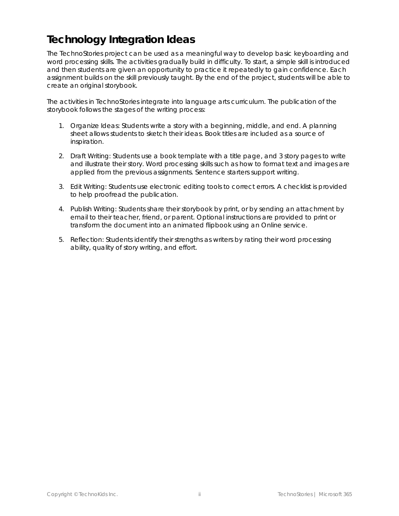# **Technology Integration Ideas**

The TechnoStories project can be used as a meaningful way to develop basic keyboarding and word processing skills. The activities gradually build in difficulty. To start, a simple skill is introduced and then students are given an opportunity to practice it repeatedly to gain confidence. Each assignment builds on the skill previously taught. By the end of the project, students will be able to create an original storybook.

The activities in TechnoStories integrate into language arts curriculum. The publication of the storybook follows the stages of the writing process:

- 1. *Organize Ideas:* Students write a story with a beginning, middle, and end. A planning sheet allows students to sketch their ideas. Book titles are included as a source of inspiration.
- 2. *Draft Writing:* Students use a book template with a title page, and 3 story pages to write and illustrate their story. Word processing skills such as how to format text and images are applied from the previous assignments. Sentence starters support writing.
- 3. *Edit Writing:* Students use electronic editing tools to correct errors. A checklist is provided to help proofread the publication.
- 4. *Publish Writing:* Students share their storybook by print, or by sending an attachment by email to their teacher, friend, or parent. Optional instructions are provided to print or transform the document into an animated flipbook using an Online service.
- 5. *Reflection:* Students identify their strengths as writers by rating their word processing ability, quality of story writing, and effort.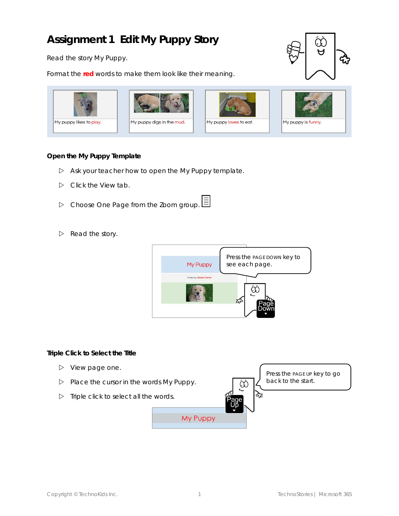# **Assignment 1 Edit My Puppy Story**

Read the story *My Puppy*.

Format the **red** words to make them look like their meaning.





**Open the My Puppy Template**

- Ask your teacher how to open the *My Puppy* template.
- Click the *View* tab.
- Choose *One Page* from the Zoom group.
- $\triangleright$  Read the story.



**Triple Click to Select the Title**

- $\triangleright$  View page one.
- Place the cursor in the words *My Puppy*.
- $\triangleright$  Triple click to select all the words.

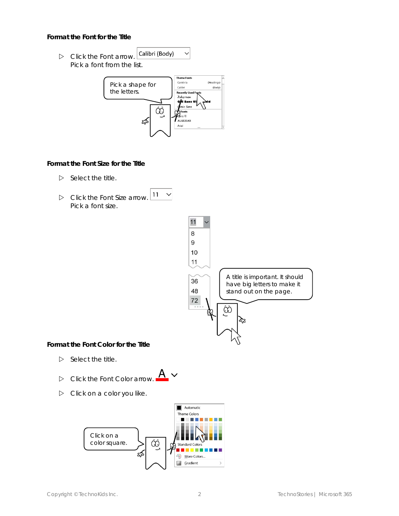**Format the Font for the Title**

Calibri (Body) Click the *Font* arrow. Pick a font from the list.



 $\checkmark$ 

**Format the Font Size for the Title**

 $\triangleright$  Select the title.



 $\triangleright$  Click on a color you like.

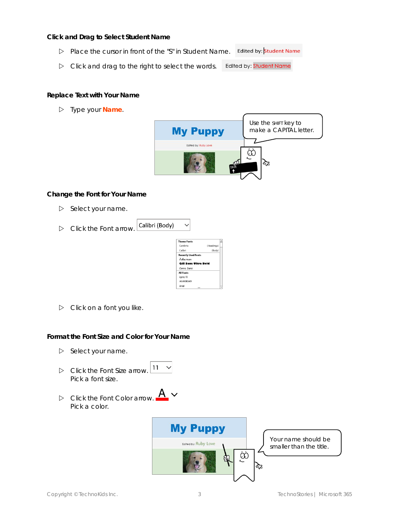**Click and Drag to Select Student Name**

- Place the cursor in front of the "S" in *Student Name*. Edited by: **Student Name**
- $\triangleright$  Click and drag to the right to select the words. Edited by: Student Name

**Replace Text with Your Name**

Type your **Name**.



**Change the Font for Your Name**

- $\triangleright$  Select your name.
- Calibri (Body) Click the *Font* arrow.



 $\checkmark$ 

 $\triangleright$  Click on a font you like.

**Format the Font Size and Color for Your Name**

- $\triangleright$  Select your name.
- $11 \sim$  Click the *Font Size* arrow. Pick a font size.
- Click the *Font Color* arrow. Pick a color.

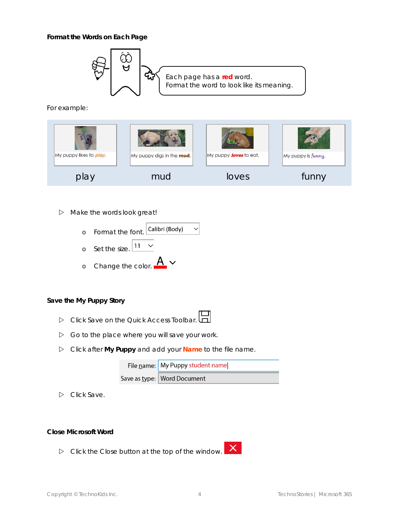**Format the Words on Each Page**



For example:



#### $\triangleright$  Make the words look great!



**Save the My Puppy Story**

- Click *Save on* the Quick Access Toolbar.
- $\triangleright$  Go to the place where you will save your work.
- Click after **My Puppy** and add your **Name** to the file name.

| File name: My Puppy student name |
|----------------------------------|
| Save as type:   Word Document    |

Click *Save*.

#### **Close Microsoft Word**

 $\triangleright$  Click the Close button at the top of the window.

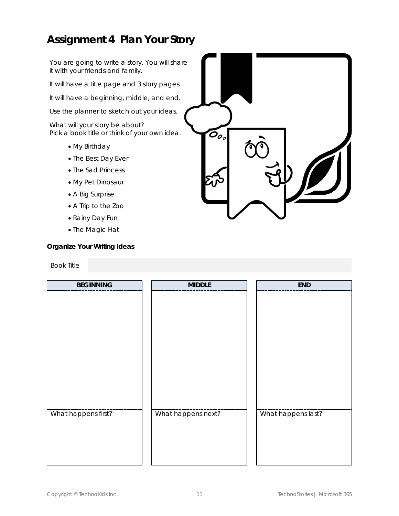## **Assignment 4 Plan Your Story**

You are going to write a story. You will share it with your friends and family.

It will have a title page and 3 story pages.

It will have a beginning, middle, and end.

Use the planner to sketch out your ideas.

What will your story be about? Pick a book title or think of your own idea.

- My Birthday
- The Best Day Ever
- The Sad Princess
- My Pet Dinosaur
- A Big Surprise
- A Trip to the Zoo
- Rainy Day Fun
- The Magic Hat

**Organize Your Writing Ideas**

#### Book Title

| <b>BEGINNING</b>    | <b>MIDDLE</b>      | END                |
|---------------------|--------------------|--------------------|
|                     |                    |                    |
|                     |                    |                    |
|                     |                    |                    |
|                     |                    |                    |
|                     |                    |                    |
|                     |                    |                    |
|                     |                    |                    |
|                     |                    |                    |
|                     |                    |                    |
|                     |                    |                    |
|                     |                    |                    |
|                     |                    |                    |
| What happens first? | What happens next? | What happens last? |
|                     |                    |                    |
|                     |                    |                    |
|                     |                    |                    |
|                     |                    |                    |
|                     |                    |                    |

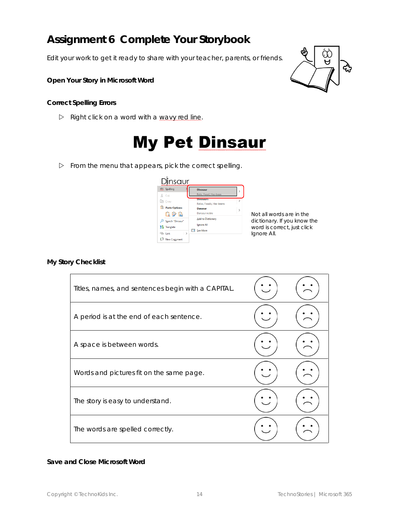# **Assignment 6 Complete Your Storybook**

Edit your work to get it ready to share with your teacher, parents, or friends.

**Open Your Story in Microsoft Word** 

**Correct Spelling Errors**

 $\triangleright$  Right click on a word with a wavy red line.

# **My Pet Dinsaur**

 $\triangleright$  From the menu that appears, pick the correct spelling.

#### Dinsaur  $\frac{\text{abc}}{\text{csc}}$  Spelling Dinosaur  $X$  Cut **Dinosaurs**  $\Box$  Copy Relics, Fossils, Has-beens  $\begin{bmatrix} 0 \\ 1 \end{bmatrix}$  Paste Options: **Danseur** Danseur noble <u>g P H</u> Add to Dictionary Sgarch "Dinsaur" Ignore All 5<br> Tranglate  $\Box$  See More  $\odot$  Link  $\overleftrightarrow{\nabla}$  New Comment

Not all words are in the dictionary. If you know the word is correct, just click *Ignore All.*

**My Story Checklist**

| Titles, names, and sentences begin with a CAPITAL. |  |
|----------------------------------------------------|--|
| A period is at the end of each sentence.           |  |
| A space is between words.                          |  |
| Words and pictures fit on the same page.           |  |
| The story is easy to understand.                   |  |
| The words are spelled correctly.                   |  |

**Save and Close Microsoft Word**

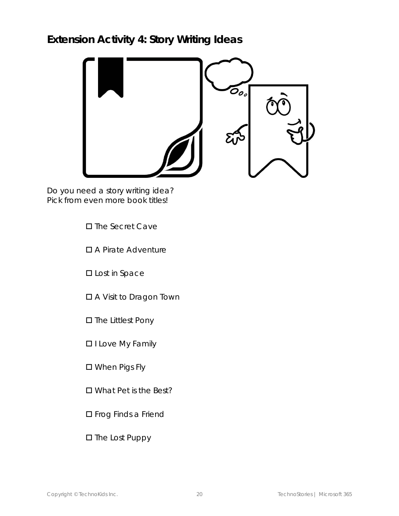# **Extension Activity 4: Story Writing Ideas**



Do you need a story writing idea? Pick from even more book titles!

- □ The Secret Cave
- A Pirate Adventure
- **D** Lost in Space
- A Visit to Dragon Town
- □ The Littlest Pony
- **II** Love My Family
- When Pigs Fly
- □ What Pet is the Best?
- **D** Frog Finds a Friend
- $\square$  The Lost Puppy